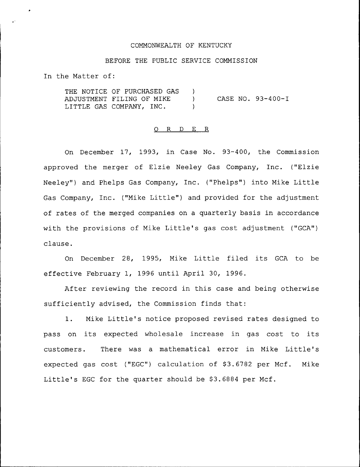### COMMONWEALTH OF KENTUCKY

### BEFORE THE PUBLIC SERVICE COMMISSION

In the Matter of:

THE NOTICE OF PURCHASED GAS ) ADJUSTMENT FILING OF MIKE ) LITTLE GAS COMPANY, INC. CASE NO. 93-400-I

#### 0 R <sup>D</sup> E R

On December 17, 1993, in Case No. 93-400, the Commission approved the merger of Elzie Neeley Gas Company, Inc. ("Elzie Neeley") and Phelps Gas Company, Inc. ("Phelps") into Mike Little Gas Company, Inc. ("Mike Little" ) and provided for the adjustment of rates of the merged companies on a quarterly basis in accordance with the provisions of Mike Little's gas cost adjustment ("GCA") clause.

On December 28, 1995, Mike Little filed its GCA to be effective February 1, 1996 until April 30, 1996.

After reviewing the record in this case and being otherwise sufficiently advised, the Commission finds that:

1. Mike Little's notice proposed revised rates designed to pass on its expected wholesale increase in gas cost to its customers. There was a mathematical error in Mike Little's expected gas cost ("EGC") calculation of \$3.6782 per Mcf. Mike Little's EGC for the quarter should be \$3.6884 per Mcf.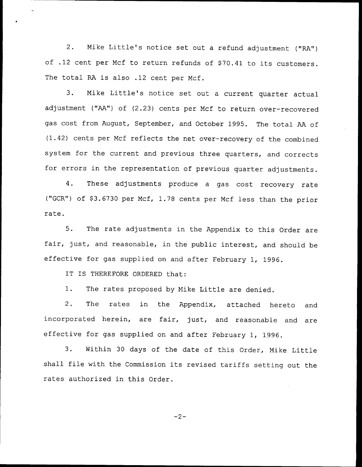2. Mike Little's notice set out <sup>a</sup> refund adjustment ("RA") of .12 cent per Mcf to return refunds of \$70.41 to its customers. The total RA is also .12 cent per Ncf.

3. Mike Little's notice set out <sup>a</sup> current quarter actual adjustment ("AA") of (2.23) cents per Ncf to return over-recovered gas cost from August, September, and October 1995. The total AA of (1.42) cents per Mcf reflects the net over-recovery of the combined system for the current and previous three quarters, and corrects for errors in the representation of previous quarter adjustments.

4. These adjustments produce <sup>a</sup> gas cost recovery rate ("GCR") of \$3.6730 per Mcf, 1.78 cents per Mcf less than the prior rate.

5. The rate adjustments in the Appendix to this Order are fair, just, and reasonable, in the public interest, and should be effective for gas supplied on and after February 1, 1996.

IT IS THEREFORE ORDERED that:

1. The rates proposed by Nike Little are denied.

2. The rates in the Appendix, attached hereto and incorporated herein, are fair, just, and reasonable and are effective for gas supplied on and after February 1, 1996.

3. Within <sup>30</sup> days of the date of this Order, Mike Little shall file with the Commission its revised tariffs setting out the rates authorized in this Order.

 $-2-$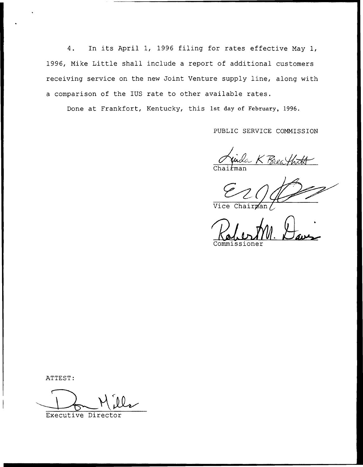4. In its April 1, 1996 filing for rates effective May 1, 1996, Mike Little shall include <sup>a</sup> report of additional customers receiving service on the new Joint Venture supply line, along with a comparison of the IUS rate to other available rates.

Done at Frankfort, Kentucky, this 1st day of February, 1996.

PUBLIC SERVICE COMMISSION

uida K Brea)

Vice Chairman

Commissione

ATTEST:

Executive Director